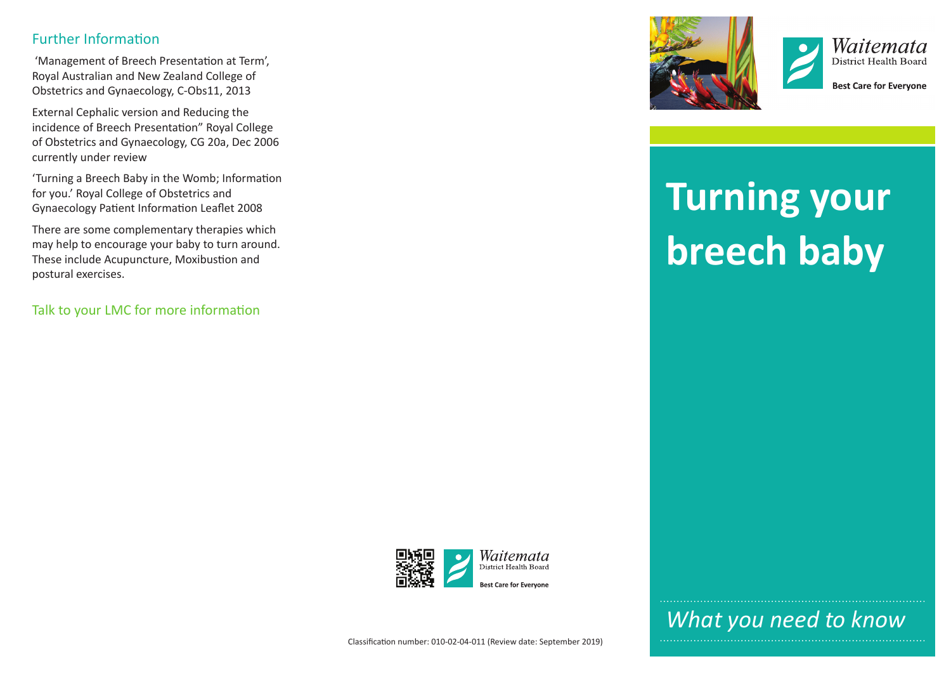#### Further Information

 'Management of Breech Presentation at Term', Royal Australian and New Zealand College of Obstetrics and Gynaecology, C-Obs11, 2013

External Cephalic version and Reducing the incidence of Breech Presentation" Royal College of Obstetrics and Gynaecology, CG 20a, Dec 2006 currently under review

'Turning a Breech Baby in the Womb; Information for you.' Royal College of Obstetrics and Gynaecology Patient Information Leaflet 2008

There are some complementary therapies which may help to encourage your baby to turn around. These include Acupuncture, Moxibustion and postural exercises.

Talk to your LMC for more information





**Best Care for Evervone** 

# **Turning your breech baby**



*What you need to know*